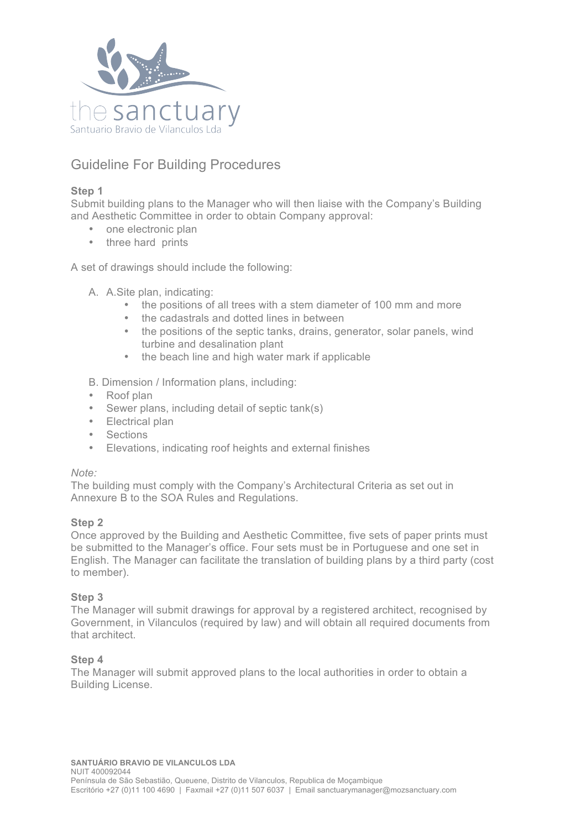

# Guideline For Building Procedures

## **Step 1**

Submit building plans to the Manager who will then liaise with the Company's Building and Aesthetic Committee in order to obtain Company approval:

- one electronic plan
- three hard prints

A set of drawings should include the following:

- A. A.Site plan, indicating:
	- the positions of all trees with a stem diameter of 100 mm and more
	- the cadastrals and dotted lines in between
	- the positions of the septic tanks, drains, generator, solar panels, wind turbine and desalination plant
	- the beach line and high water mark if applicable

B. Dimension / Information plans, including:

- Roof plan
- Sewer plans, including detail of septic tank(s)
- Electrical plan
- Sections
- Elevations, indicating roof heights and external finishes

### *Note:*

The building must comply with the Company's Architectural Criteria as set out in Annexure B to the SOA Rules and Regulations.

### **Step 2**

Once approved by the Building and Aesthetic Committee, five sets of paper prints must be submitted to the Manager's office. Four sets must be in Portuguese and one set in English. The Manager can facilitate the translation of building plans by a third party (cost to member).

### **Step 3**

The Manager will submit drawings for approval by a registered architect, recognised by Government, in Vilanculos (required by law) and will obtain all required documents from that architect.

### **Step 4**

The Manager will submit approved plans to the local authorities in order to obtain a Building License.